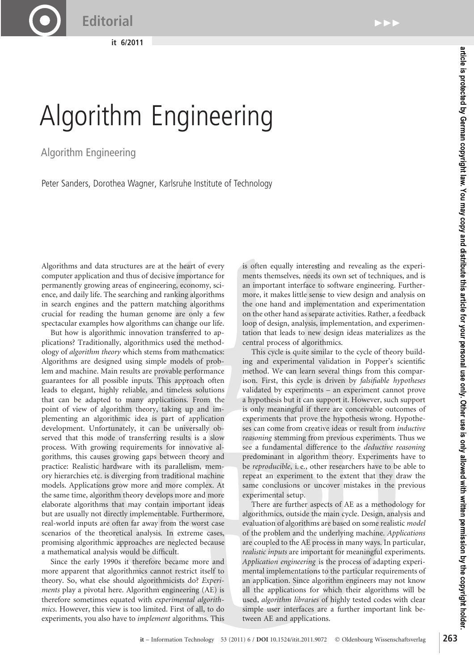**it 6/2011**

## Algorithm Engineering

Algorithm Engineering

Peter Sanders, Dorothea Wagner, Karlsruhe Institute of Technology

Algorithms and data structures are at the heart of every computer application and thus of decisive importance for permanently growing areas of engineering, economy, science, and daily life. The searching and ranking algorithms in search engines and the pattern matching algorithms crucial for reading the human genome are only a few spectacular examples how algorithms can change our life.

But how is algorithmic innovation transferred to applications? Traditionally, algorithmics used the methodology of *algorithm theory* which stems from mathematics: Algorithms are designed using simple models of problem and machine. Main results are provable performance guarantees for all possible inputs. This approach often leads to elegant, highly reliable, and timeless solutions that can be adapted to many applications. From the point of view of algorithm theory, taking up and implementing an algorithmic idea is part of application development. Unfortunately, it can be universally observed that this mode of transferring results is a slow process. With growing requirements for innovative algorithms, this causes growing gaps between theory and practice: Realistic hardware with its parallelism, memory hierarchies etc. is diverging from traditional machine models. Applications grow more and more complex. At the same time, algorithm theory develops more and more elaborate algorithms that may contain important ideas but are usually not directly implementable. Furthermore, real-world inputs are often far away from the worst case scenarios of the theoretical analysis. In extreme cases, promising algorithmic approaches are neglected because a mathematical analysis would be difficult.

Since the early 1990s it therefore became more and more apparent that algorithmics cannot restrict itself to theory. So, what else should algorithmicists do? *Experiments* play a pivotal here. Algorithm engineering (AE) is therefore sometimes equated with *experimental algorithmics*. However, this view is too limited. First of all, to do experiments, you also have to *implement* algorithms. This

is often equally interesting and revealing as the experiments themselves, needs its own set of techniques, and is an important interface to software engineering. Furthermore, it makes little sense to view design and analysis on the one hand and implementation and experimentation on the other hand as separate activities. Rather, a feedback loop of design, analysis, implementation, and experimentation that leads to new design ideas materializes as the central process of algorithmics.

This cycle is quite similar to the cycle of theory building and experimental validation in Popper's scientific method. We can learn several things from this comparison. First, this cycle is driven by *falsifiable hypotheses* validated by experiments – an experiment cannot prove a hypothesis but it can support it. However, such support is only meaningful if there are conceivable outcomes of experiments that prove the hypothesis wrong. Hypotheses can come from creative ideas or result from *inductive reasoning* stemming from previous experiments. Thus we see a fundamental difference to the *deductive reasoning* predominant in algorithm theory. Experiments have to be *reproducible*, i. e., other researchers have to be able to repeat an experiment to the extent that they draw the same conclusions or uncover mistakes in the previous experimental setup.

There are further aspects of AE as a methodology for algorithmics, outside the main cycle. Design, analysis and evaluation of algorithms are based on some realistic *model* of the problem and the underlying machine. *Applications* are coupled to the AE process in many ways. In particular, *realistic inputs* are important for meaningful experiments. *Application engineering* is the process of adapting experimental implementations to the particular requirements of an application. Since algorithm engineers may not know all the applications for which their algorithms will be used, *algorithm libraries* of highly tested codes with clear simple user interfaces are a further important link between AE and applications.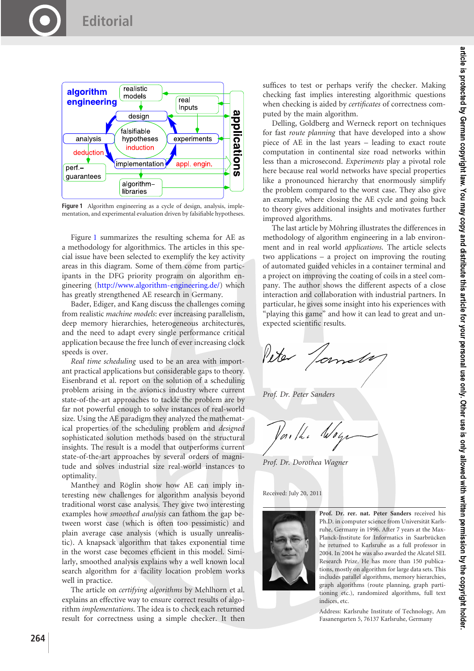

<span id="page-1-0"></span>Figure 1 Algorithm engineering as a cycle of design, analysis, implementation, and experimental evaluation driven by falsifiable hypotheses.

Figure [1](#page-1-0) summarizes the resulting schema for AE as a methodology for algorithmics. The articles in this special issue have been selected to exemplify the key activity areas in this diagram. Some of them come from participants in the DFG priority program on algorithm engineering [\(http://www.algorithm-engineering.de/\)](http://www.algorithm-engineering.de/) which has greatly strengthened AE research in Germany.

Bader, Ediger, and Kang discuss the challenges coming from realistic *machine models*: ever increasing parallelism, deep memory hierarchies, heterogeneous architectures, and the need to adapt every single performance critical application because the free lunch of ever increasing clock speeds is over.

*Real time scheduling* used to be an area with important practical applications but considerable gaps to theory. Eisenbrand et al. report on the solution of a scheduling problem arising in the avionics industry where current state-of-the-art approaches to tackle the problem are by far not powerful enough to solve instances of real-world size. Using the AE paradigm they analyzed the mathematical properties of the scheduling problem and *designed* sophisticated solution methods based on the structural insights. The result is a model that outperforms current state-of-the-art approaches by several orders of magnitude and solves industrial size real-world instances to optimality.

Manthey and Röglin show how AE can imply interesting new challenges for algorithm analysis beyond traditional worst case analysis. They give two interesting examples how *smoothed analysis* can fathom the gap between worst case (which is often too pessimistic) and plain average case analysis (which is usually unrealistic). A knapsack algorithm that takes exponential time in the worst case becomes efficient in this model. Similarly, smoothed analysis explains why a well known local search algorithm for a facility location problem works well in practice.

The article on *certifying algorithms* by Mehlhorn et al. explains an effective way to ensure correct results of algorithm *implementations*. The idea is to check each returned result for correctness using a simple checker. It then suffices to test or perhaps verify the checker. Making checking fast implies interesting algorithmic questions when checking is aided by *certificates* of correctness computed by the main algorithm.

Delling, Goldberg and Werneck report on techniques for fast *route planning* that have developed into a show piece of AE in the last years – leading to exact route computation in continental size road networks within less than a microsecond. *Experiments* play a pivotal role here because real world networks have special properties like a pronounced hierarchy that enormously simplify the problem compared to the worst case. They also give an example, where closing the AE cycle and going back to theory gives additional insights and motivates further improved algorithms.

The last article by Möhring illustrates the differences in methodology of algorithm engineering in a lab environment and in real world *applications*. The article selects two applications – a project on improving the routing of automated guided vehicles in a container terminal and a project on improving the coating of coils in a steel company. The author shows the different aspects of a close interaction and collaboration with industrial partners. In particular, he gives some insight into his experiences with "playing this game" and how it can lead to great and unexpected scientific results.

Peter Jame

*Prof. Dr. Peter Sanders*

Var /h í

*Prof. Dr. Dorothea Wagner*

Received: July 20, 2011



**Prof. Dr. rer. nat. Peter Sanders** received his Ph.D. in computer science from Universität Karlsruhe, Germany in 1996. After 7 years at the Max-Planck-Institute for Informatics in Saarbrücken he returned to Karlsruhe as a full professor in 2004. In 2004 he was also awarded the Alcatel SEL Research Prize. He has more than 150 publications, mostly on algorithm for large data sets. This includes parallel algorithms, memory hierarchies, graph algorithms (route planning, graph partitioning etc.), randomized algorithms, full text indices, etc.

Address: Karlsruhe Institute of Technology, Am Fasanengarten 5, 76137 Karlsruhe, Germany